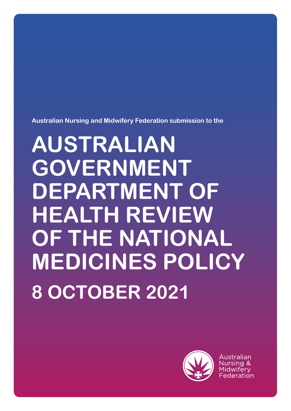**Australian Nursing and Midwifery Federation submission to the**

# **AUSTRALIAN GOVERNMENT DEPARTMENT OF HEALTH REVIEW OF THE NATIONAL MEDICINES POLICY 8 OCTOBER 2021**



Australian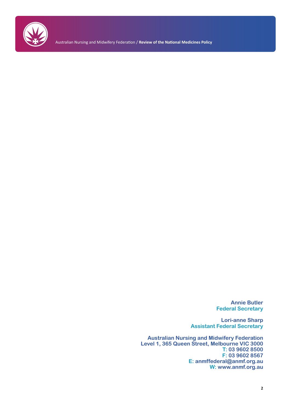

Australian Nursing and Midwifery Federation / **Review of the National Medicines Policy**

**Annie Butler Federal Secretary**

**Lori-anne Sharp Assistant Federal Secretary**

**Australian Nursing and Midwifery Federation Level 1, 365 Queen Street, Melbourne VIC 3000 T: 03 9602 8500 F: 03 9602 8567 E: anmffederal@anmf.org.au W: www.anmf.org.au**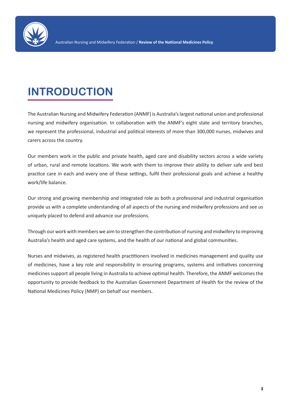

# **INTRODUCTION**

The Australian Nursing and Midwifery Federation (ANMF) is Australia's largest national union and professional nursing and midwifery organisation. In collaboration with the ANMF's eight state and territory branches, we represent the professional, industrial and political interests of more than 300,000 nurses, midwives and carers across the country.

Our members work in the public and private health, aged care and disability sectors across a wide variety of urban, rural and remote locations. We work with them to improve their ability to deliver safe and best practice care in each and every one of these settings, fulfil their professional goals and achieve a healthy work/life balance.

Our strong and growing membership and integrated role as both a professional and industrial organisation provide us with a complete understanding of all aspects of the nursing and midwifery professions and see us uniquely placed to defend and advance our professions.

Through our work with members we aim to strengthen the contribution of nursing and midwifery to improving Australia's health and aged care systems, and the health of our national and global communities.

Nurses and midwives, as registered health practitioners involved in medicines management and quality use of medicines, have a key role and responsibility in ensuring programs, systems and initiatives concerning medicines support all people living in Australia to achieve optimal health. Therefore, the ANMF welcomes the opportunity to provide feedback to the Australian Government Department of Health for the review of the National Medicines Policy (NMP) on behalf our members.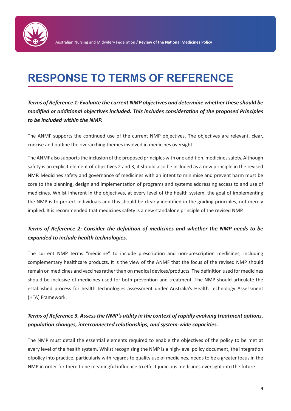

## **RESPONSE TO TERMS OF REFERENCE**

*Terms of Reference 1: Evaluate the current NMP objectives and determine whether these should be modified or additional objectives included. This includes consideration of the proposed Principles to be included within the NMP.*

The ANMF supports the continued use of the current NMP objectives. The objectives are relevant, clear, concise and outline the overarching themes involved in medicines oversight.

The ANMF also supports the inclusion of the proposed principles with one addition, medicines safety. Although safety is an explicit element of objectives 2 and 3, it should also be included as a new principle in the revised NMP. Medicines safety and governance of medicines with an intent to minimise and prevent harm must be core to the planning, design and implementation of programs and systems addressing access to and use of medicines. Whilst inherent in the objectives, at every level of the health system, the goal of implementing the NMP is to protect individuals and this should be clearly identified in the guiding principles, not merely implied. It is recommended that medicines safety is a new standalone principle of the revised NMP.

#### *Terms of Reference 2: Consider the definition of medicines and whether the NMP needs to be expanded to include health technologies.*

The current NMP terms "medicine" to include prescription and non-prescription medicines, including complementary healthcare products. It is the view of the ANMF that the focus of the revised NMP should remain on medicines and vaccines rather than on medical devices/products. The definition used for medicines should be inclusive of medicines used for both prevention and treatment. The NMP should articulate the established process for health technologies assessment under Australia's Health Technology Assessment (HTA) Framework.

#### *Terms of Reference 3. Assess the NMP's utility in the context of rapidly evolving treatment options, population changes, interconnected relationships, and system-wide capacities.*

The NMP must detail the essential elements required to enable the objectives of the policy to be met at every level of the health system. Whilst recognising the NMP is a high-level policy document, the integration ofpolicy into practice, particularly with regards to quality use of medicines, needs to be a greater focus in the NMP in order for there to be meaningful influence to effect judicious medicines oversight into the future.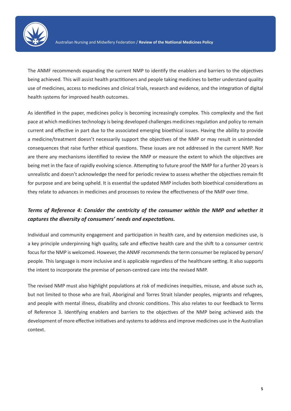

The ANMF recommends expanding the current NMP to identify the enablers and barriers to the objectives being achieved. This will assist health practitioners and people taking medicines to better understand quality use of medicines, access to medicines and clinical trials, research and evidence, and the integration of digital health systems for improved health outcomes.

As identified in the paper, medicines policy is becoming increasingly complex. This complexity and the fast pace at which medicines technology is being developed challenges medicines regulation and policy to remain current and effective in part due to the associated emerging bioethical issues. Having the ability to provide a medicine/treatment doesn't necessarily support the objectives of the NMP or may result in unintended consequences that raise further ethical questions. These issues are not addressed in the current NMP. Nor are there any mechanisms identified to review the NMP or measure the extent to which the objectives are being met in the face of rapidly evolving science. Attempting to future proof the NMP for a further 20 years is unrealistic and doesn't acknowledge the need for periodic review to assess whether the objectives remain fit for purpose and are being upheld. It is essential the updated NMP includes both bioethical considerations as they relate to advances in medicines and processes to review the effectiveness of the NMP over time.

#### *Terms of Reference 4: Consider the centricity of the consumer within the NMP and whether it captures the diversity of consumers' needs and expectations.*

Individual and community engagement and participation in health care, and by extension medicines use, is a key principle underpinning high quality, safe and effective health care and the shift to a consumer centric focus for the NMP is welcomed. However, the ANMF recommends the term consumer be replaced by person/ people. This language is more inclusive and is applicable regardless of the healthcare setting. It also supports the intent to incorporate the premise of person-centred care into the revised NMP.

The revised NMP must also highlight populations at risk of medicines inequities, misuse, and abuse such as, but not limited to those who are frail, Aboriginal and Torres Strait Islander peoples, migrants and refugees, and people with mental illness, disability and chronic conditions. This also relates to our feedback to Terms of Reference 3. Identifying enablers and barriers to the objectives of the NMP being achieved aids the development of more effective initiatives and systems to address and improve medicines use in the Australian context.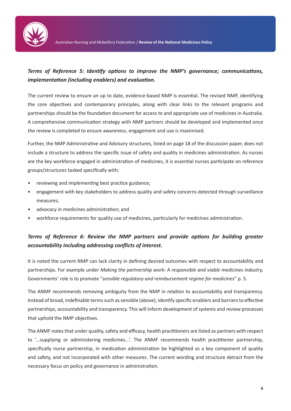

#### *Terms of Reference 5: Identify options to improve the NMP's governance; communications, implementation (including enablers) and evaluation.*

The current review to ensure an up to date, evidence-based NMP is essential. The revised NMP, identifying the core objectives and contemporary principles, along with clear links to the relevant programs and partnerships should be the foundation document for access to and appropriate use of medicines in Australia. A comprehensive communication strategy with NMP partners should be developed and implemented once the review is completed to ensure awareness, engagement and use is maximised.

Further, the NMP Administrative and Advisory structures, listed on page 18 of the discussion paper, does not include a structure to address the specific issue of safety and quality in medicines administration. As nurses are the key workforce engaged in administration of medicines, it is essential nurses participate on reference groups/structures tasked specifically with:

- reviewing and implementing best practice guidance;
- engagement with key stakeholders to address quality and safety concerns detected through surveillance measures;
- advocacy in medicines administration; and
- workforce requirements for quality use of medicines, particularly for medicines administration.

#### *Terms of Reference 6: Review the NMP partners and provide options for building greater accountability including addressing conflicts of interest.*

It is noted the current NMP can lack clarity in defining desired outcomes with respect to accountability and partnerships. For example under *Making the partnership work: A responsible and viable medicines industry,*  Governments' role is to promote "*sensible regulatory and reimbursement regime for medicines*" p. 5.

The ANMF recommends removing ambiguity from the NMP in relation to accountability and transparency. Instead of broad, indefinable terms such as sensible (above), identify specific enablers and barriers to effective partnerships, accountability and transparency. This will inform development of systems and review processes that uphold the NMP objectives.

The ANMF notes that under quality, safety and efficacy, health practitioners are listed as partners with respect to '…supplying or administering medicines…'. The ANMF recommends health practitioner partnership, specifically nurse partnership, in medication administration be highlighted as a key component of quality and safety, and not incorporated with other measures. The current wording and structure detract from the necessary focus on policy and governance in administration.